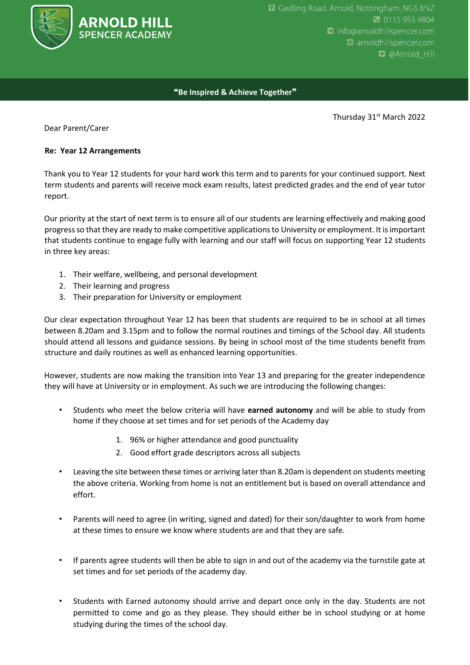

## ❝**Be Inspired & Achieve Together**❞

Thursday 31<sup>st</sup> March 2022

Dear Parent/Carer

## **Re: Year 12 Arrangements**

Thank you to Year 12 students for your hard work this term and to parents for your continued support. Next term students and parents will receive mock exam results, latest predicted grades and the end of year tutor report.

Our priority at the start of next term is to ensure all of our students are learning effectively and making good progress so that they are ready to make competitive applications to University or employment. It is important that students continue to engage fully with learning and our staff will focus on supporting Year 12 students in three key areas:

- 1. Their welfare, wellbeing, and personal development
- 2. Their learning and progress
- 3. Their preparation for University or employment

Our clear expectation throughout Year 12 has been that students are required to be in school at all times between 8.20am and 3.15pm and to follow the normal routines and timings of the School day. All students should attend all lessons and guidance sessions. By being in school most of the time students benefit from structure and daily routines as well as enhanced learning opportunities.

However, students are now making the transition into Year 13 and preparing for the greater independence they will have at University or in employment. As such we are introducing the following changes:

- Students who meet the below criteria will have **earned autonomy** and will be able to study from home if they choose at set times and for set periods of the Academy day
	- 1. 96% or higher attendance and good punctuality
	- 2. Good effort grade descriptors across all subjects
- Leaving the site between these times or arriving later than 8.20am is dependent on students meeting the above criteria. Working from home is not an entitlement but is based on overall attendance and effort.
- Parents will need to agree (in writing, signed and dated) for their son/daughter to work from home at these times to ensure we know where students are and that they are safe.
- If parents agree students will then be able to sign in and out of the academy via the turnstile gate at set times and for set periods of the academy day.
- Students with Earned autonomy should arrive and depart once only in the day. Students are not permitted to come and go as they please. They should either be in school studying or at home studying during the times of the school day.